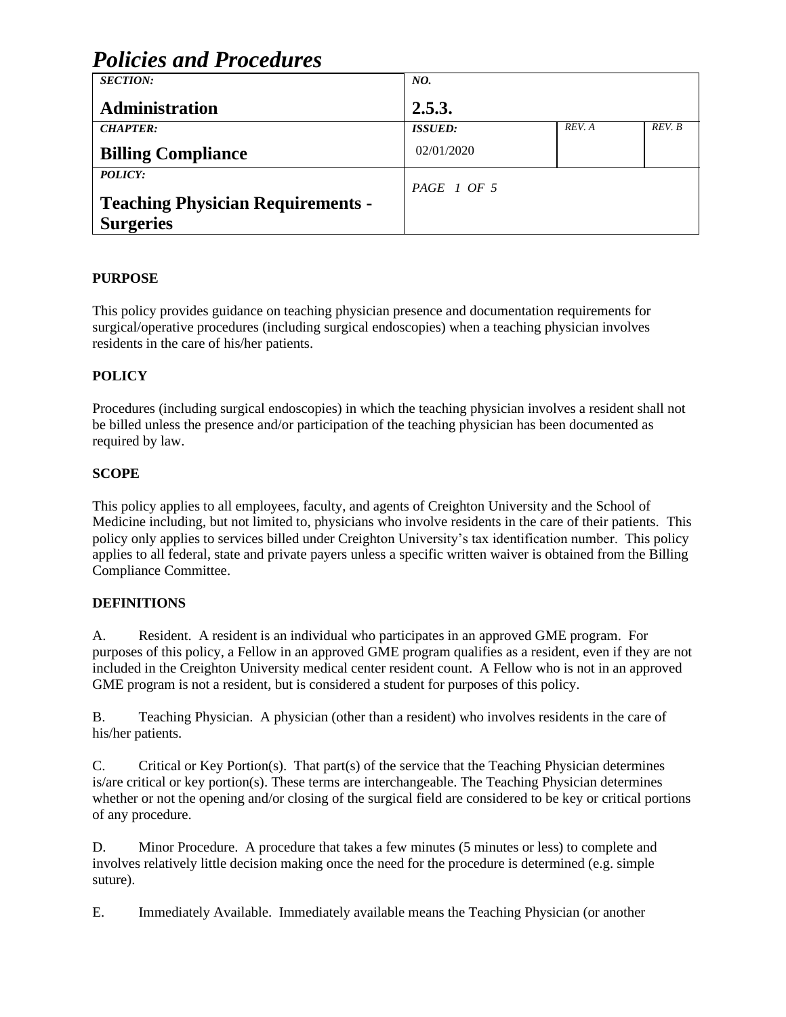| <b>Policies and Procedures</b>           |                  |        |        |
|------------------------------------------|------------------|--------|--------|
| <b>SECTION:</b>                          | NO.              |        |        |
| Administration                           | 2.5.3.           |        |        |
| <b>CHAPTER:</b>                          | <b>ISSUED:</b>   | REV. A | REV. B |
| <b>Billing Compliance</b>                | 02/01/2020       |        |        |
| POLICY:                                  | $PAGE \mid OF 5$ |        |        |
| <b>Teaching Physician Requirements -</b> |                  |        |        |
| <b>Surgeries</b>                         |                  |        |        |

### **PURPOSE**

This policy provides guidance on teaching physician presence and documentation requirements for surgical/operative procedures (including surgical endoscopies) when a teaching physician involves residents in the care of his/her patients.

### **POLICY**

Procedures (including surgical endoscopies) in which the teaching physician involves a resident shall not be billed unless the presence and/or participation of the teaching physician has been documented as required by law.

### **SCOPE**

This policy applies to all employees, faculty, and agents of Creighton University and the School of Medicine including, but not limited to, physicians who involve residents in the care of their patients. This policy only applies to services billed under Creighton University's tax identification number. This policy applies to all federal, state and private payers unless a specific written waiver is obtained from the Billing Compliance Committee.

### **DEFINITIONS**

A. Resident. A resident is an individual who participates in an approved GME program. For purposes of this policy, a Fellow in an approved GME program qualifies as a resident, even if they are not included in the Creighton University medical center resident count. A Fellow who is not in an approved GME program is not a resident, but is considered a student for purposes of this policy.

B. Teaching Physician. A physician (other than a resident) who involves residents in the care of his/her patients.

C. Critical or Key Portion(s). That part(s) of the service that the Teaching Physician determines is/are critical or key portion(s). These terms are interchangeable. The Teaching Physician determines whether or not the opening and/or closing of the surgical field are considered to be key or critical portions of any procedure.

D. Minor Procedure. A procedure that takes a few minutes (5 minutes or less) to complete and involves relatively little decision making once the need for the procedure is determined (e.g. simple suture).

E. Immediately Available. Immediately available means the Teaching Physician (or another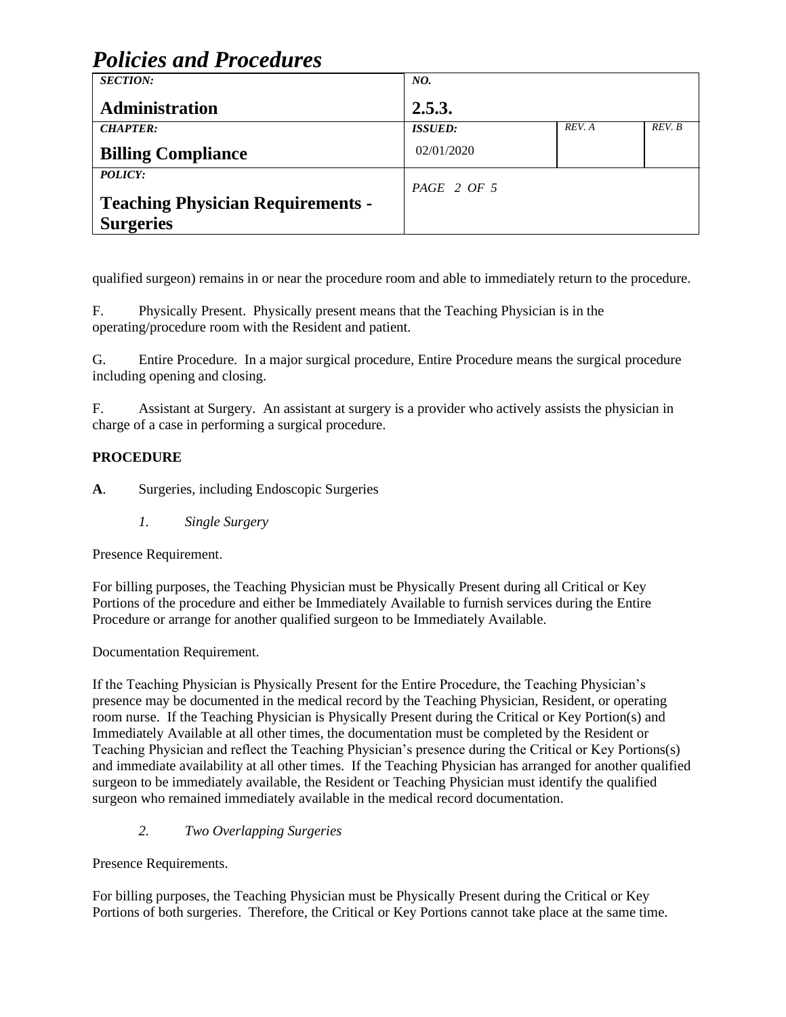| <b>SECTION:</b>                          | NO.            |        |        |
|------------------------------------------|----------------|--------|--------|
| <b>Administration</b>                    | 2.5.3.         |        |        |
| <b>CHAPTER:</b>                          | <b>ISSUED:</b> | REV. A | REV. B |
| <b>Billing Compliance</b>                | 02/01/2020     |        |        |
| <b>POLICY:</b>                           | $PAGE$ 2 OF 5  |        |        |
| <b>Teaching Physician Requirements -</b> |                |        |        |
| <b>Surgeries</b>                         |                |        |        |

qualified surgeon) remains in or near the procedure room and able to immediately return to the procedure.

F. Physically Present. Physically present means that the Teaching Physician is in the operating/procedure room with the Resident and patient.

G. Entire Procedure. In a major surgical procedure, Entire Procedure means the surgical procedure including opening and closing.

F. Assistant at Surgery. An assistant at surgery is a provider who actively assists the physician in charge of a case in performing a surgical procedure.

### **PROCEDURE**

**A**. Surgeries, including Endoscopic Surgeries

*1. Single Surgery*

Presence Requirement.

For billing purposes, the Teaching Physician must be Physically Present during all Critical or Key Portions of the procedure and either be Immediately Available to furnish services during the Entire Procedure or arrange for another qualified surgeon to be Immediately Available.

Documentation Requirement.

If the Teaching Physician is Physically Present for the Entire Procedure, the Teaching Physician's presence may be documented in the medical record by the Teaching Physician, Resident, or operating room nurse. If the Teaching Physician is Physically Present during the Critical or Key Portion(s) and Immediately Available at all other times, the documentation must be completed by the Resident or Teaching Physician and reflect the Teaching Physician's presence during the Critical or Key Portions(s) and immediate availability at all other times. If the Teaching Physician has arranged for another qualified surgeon to be immediately available, the Resident or Teaching Physician must identify the qualified surgeon who remained immediately available in the medical record documentation.

### *2. Two Overlapping Surgeries*

Presence Requirements.

For billing purposes, the Teaching Physician must be Physically Present during the Critical or Key Portions of both surgeries. Therefore, the Critical or Key Portions cannot take place at the same time.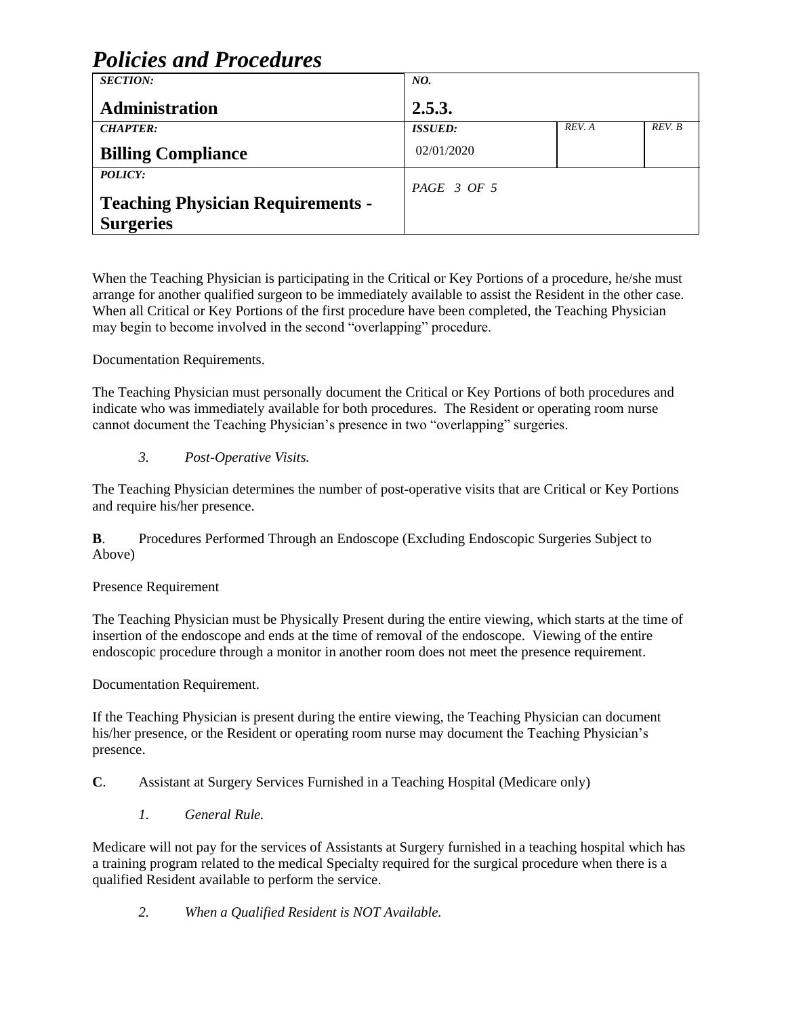| <b>SECTION:</b>                          | NO.            |        |        |
|------------------------------------------|----------------|--------|--------|
| Administration                           | 2.5.3.         |        |        |
| <b>CHAPTER:</b>                          | <b>ISSUED:</b> | REV. A | REV. B |
| <b>Billing Compliance</b>                | 02/01/2020     |        |        |
| <b>POLICY:</b>                           | PAGE 3 OF 5    |        |        |
| <b>Teaching Physician Requirements -</b> |                |        |        |
| <b>Surgeries</b>                         |                |        |        |

When the Teaching Physician is participating in the Critical or Key Portions of a procedure, he/she must arrange for another qualified surgeon to be immediately available to assist the Resident in the other case. When all Critical or Key Portions of the first procedure have been completed, the Teaching Physician may begin to become involved in the second "overlapping" procedure.

Documentation Requirements.

The Teaching Physician must personally document the Critical or Key Portions of both procedures and indicate who was immediately available for both procedures. The Resident or operating room nurse cannot document the Teaching Physician's presence in two "overlapping" surgeries.

#### *3. Post-Operative Visits.*

The Teaching Physician determines the number of post-operative visits that are Critical or Key Portions and require his/her presence.

**B**. Procedures Performed Through an Endoscope (Excluding Endoscopic Surgeries Subject to Above)

### Presence Requirement

The Teaching Physician must be Physically Present during the entire viewing, which starts at the time of insertion of the endoscope and ends at the time of removal of the endoscope. Viewing of the entire endoscopic procedure through a monitor in another room does not meet the presence requirement.

Documentation Requirement.

If the Teaching Physician is present during the entire viewing, the Teaching Physician can document his/her presence, or the Resident or operating room nurse may document the Teaching Physician's presence.

**C**. Assistant at Surgery Services Furnished in a Teaching Hospital (Medicare only)

*1. General Rule.*

Medicare will not pay for the services of Assistants at Surgery furnished in a teaching hospital which has a training program related to the medical Specialty required for the surgical procedure when there is a qualified Resident available to perform the service.

*2. When a Qualified Resident is NOT Available.*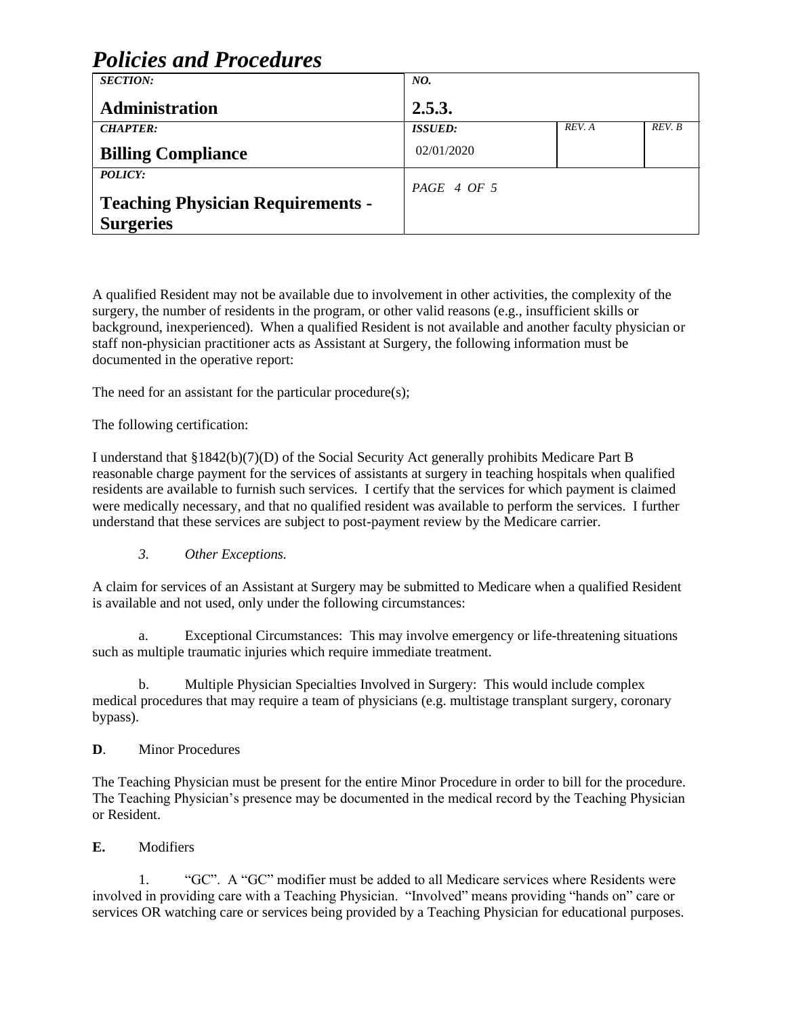| <b>SECTION:</b>                          | NO.                    |        |        |
|------------------------------------------|------------------------|--------|--------|
| Administration                           | 2.5.3.                 |        |        |
| <b>CHAPTER:</b>                          | <b>ISSUED:</b>         | REV. A | REV. B |
| <b>Billing Compliance</b>                | 02/01/2020             |        |        |
| <b>POLICY:</b>                           | $PAGE \, 4 \, OF \, 5$ |        |        |
| <b>Teaching Physician Requirements -</b> |                        |        |        |
| <b>Surgeries</b>                         |                        |        |        |

A qualified Resident may not be available due to involvement in other activities, the complexity of the surgery, the number of residents in the program, or other valid reasons (e.g., insufficient skills or background, inexperienced). When a qualified Resident is not available and another faculty physician or staff non-physician practitioner acts as Assistant at Surgery, the following information must be documented in the operative report:

The need for an assistant for the particular procedure(s);

The following certification:

I understand that §1842(b)(7)(D) of the Social Security Act generally prohibits Medicare Part B reasonable charge payment for the services of assistants at surgery in teaching hospitals when qualified residents are available to furnish such services. I certify that the services for which payment is claimed were medically necessary, and that no qualified resident was available to perform the services. I further understand that these services are subject to post-payment review by the Medicare carrier.

### *3. Other Exceptions.*

A claim for services of an Assistant at Surgery may be submitted to Medicare when a qualified Resident is available and not used, only under the following circumstances:

a. Exceptional Circumstances: This may involve emergency or life-threatening situations such as multiple traumatic injuries which require immediate treatment.

b. Multiple Physician Specialties Involved in Surgery: This would include complex medical procedures that may require a team of physicians (e.g. multistage transplant surgery, coronary bypass).

### **D**. Minor Procedures

The Teaching Physician must be present for the entire Minor Procedure in order to bill for the procedure. The Teaching Physician's presence may be documented in the medical record by the Teaching Physician or Resident.

### **E.** Modifiers

1. "GC". A "GC" modifier must be added to all Medicare services where Residents were involved in providing care with a Teaching Physician. "Involved" means providing "hands on" care or services OR watching care or services being provided by a Teaching Physician for educational purposes.